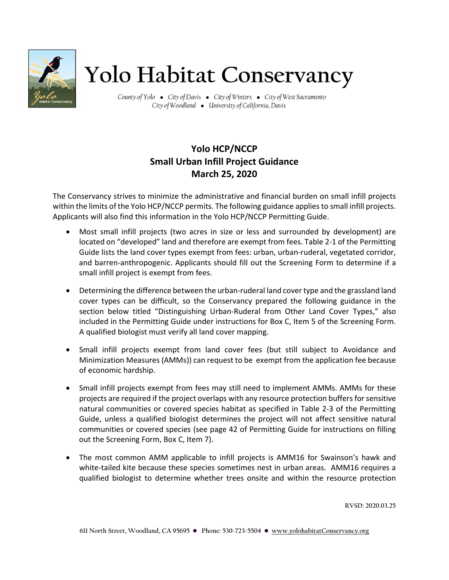

## Yolo Habitat Conservancy

County of Yolo . City of Davis . City of Winters . City of West Sacramento City of Woodland . University of California, Davis

## **Yolo HCP/NCCP Small Urban Infill Project Guidance March 25, 2020**

The Conservancy strives to minimize the administrative and financial burden on small infill projects within the limits of the Yolo HCP/NCCP permits. The following guidance applies to small infill projects. Applicants will also find this information in the Yolo HCP/NCCP Permitting Guide.

- Most small infill projects (two acres in size or less and surrounded by development) are located on "developed" land and therefore are exempt from fees. Table 2-1 of the Permitting Guide lists the land cover types exempt from fees: urban, urban-ruderal, vegetated corridor, and barren-anthropogenic. Applicants should fill out the Screening Form to determine if a small infill project is exempt from fees.
- Determining the difference between the urban-ruderal land cover type and the grassland land cover types can be difficult, so the Conservancy prepared the following guidance in the section below titled "Distinguishing Urban-Ruderal from Other Land Cover Types," also included in the Permitting Guide under instructions for Box C, Item 5 of the Screening Form. A qualified biologist must verify all land cover mapping.
- Small infill projects exempt from land cover fees (but still subject to Avoidance and Minimization Measures (AMMs)) can request to be exempt from the application fee because of economic hardship.
- Small infill projects exempt from fees may still need to implement AMMs. AMMs for these projects are required if the project overlaps with any resource protection buffers for sensitive natural communities or covered species habitat as specified in Table 2-3 of the Permitting Guide, unless a qualified biologist determines the project will not affect sensitive natural communities or covered species (see page 42 of Permitting Guide for instructions on filling out the Screening Form, Box C, Item 7).
- The most common AMM applicable to infill projects is AMM16 for Swainson's hawk and white-tailed kite because these species sometimes nest in urban areas. AMM16 requires a qualified biologist to determine whether trees onsite and within the resource protection

**RVSD: 2020.03.25**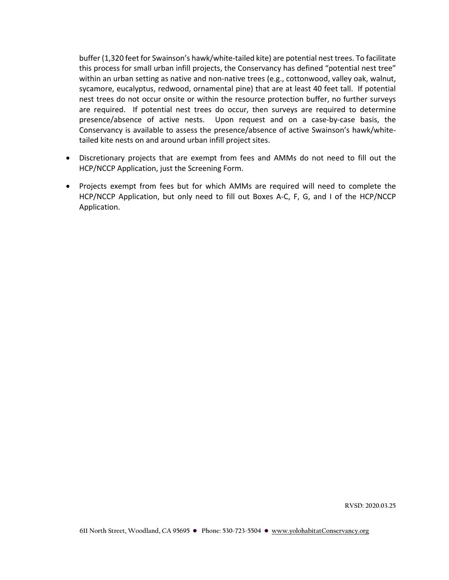buffer (1,320 feet for Swainson's hawk/white-tailed kite) are potential nest trees. To facilitate this process for small urban infill projects, the Conservancy has defined "potential nest tree" within an urban setting as native and non-native trees (e.g., cottonwood, valley oak, walnut, sycamore, eucalyptus, redwood, ornamental pine) that are at least 40 feet tall. If potential nest trees do not occur onsite or within the resource protection buffer, no further surveys are required. If potential nest trees do occur, then surveys are required to determine presence/absence of active nests. Upon request and on a case-by-case basis, the Conservancy is available to assess the presence/absence of active Swainson's hawk/whitetailed kite nests on and around urban infill project sites.

- Discretionary projects that are exempt from fees and AMMs do not need to fill out the HCP/NCCP Application, just the Screening Form.
- Projects exempt from fees but for which AMMs are required will need to complete the HCP/NCCP Application, but only need to fill out Boxes A-C, F, G, and I of the HCP/NCCP Application.

**RVSD: 2020.03.25**